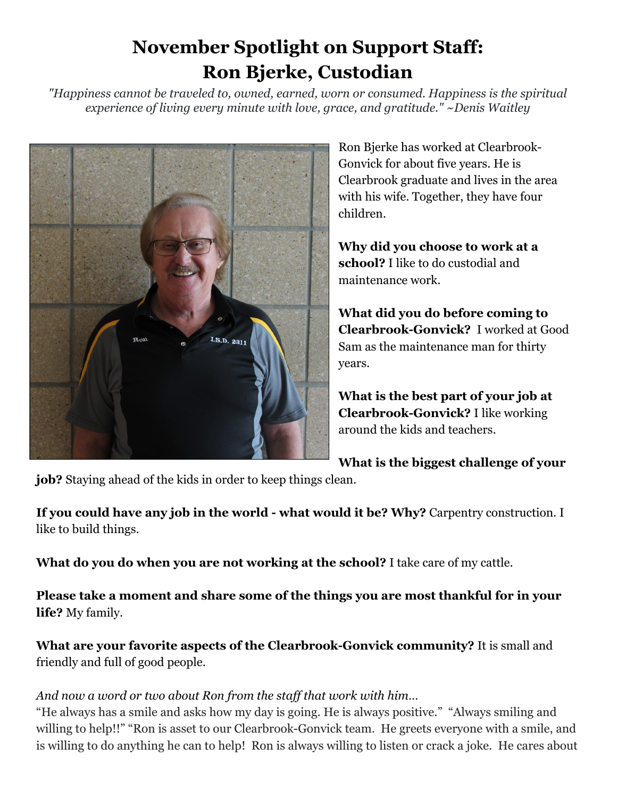## **November Spotlight on Support Staff: Ron Bjerke, Custodian**

*"Happiness cannot be traveled to, owned, earned, worn or consumed. Happiness is the spiritual experience of living every minute with love, grace, and gratitude." ~Denis Waitley*



Ron Bjerke has worked at Clearbrook-Gonvick for about five years. He is Clearbrook graduate and lives in the area with his wife. Together, they have four children.

**Why did you choose to work at a school?** I like to do custodial and maintenance work.

**What did you do before coming to Clearbrook-Gonvick?** I worked at Good Sam as the maintenance man for thirty years.

**What is the best part of your job at Clearbrook-Gonvick?** I like working around the kids and teachers.

**What is the biggest challenge of your**

**job?** Staying ahead of the kids in order to keep things clean.

**If you could have any job in the world - what would it be? Why?** Carpentry construction. I like to build things.

**What do you do when you are not working at the school?** I take care of my cattle.

**Please take a moment and share some of the things you are most thankful for in your life?** My family.

**What are your favorite aspects of the Clearbrook-Gonvick community?** It is small and friendly and full of good people.

## *And now a word or two about Ron from the staff that work with him…*

"He always has a smile and asks how my day is going. He is always positive." "Always smiling and willing to help!!" "Ron is asset to our Clearbrook-Gonvick team. He greets everyone with a smile, and is willing to do anything he can to help! Ron is always willing to listen or crack a joke. He cares about